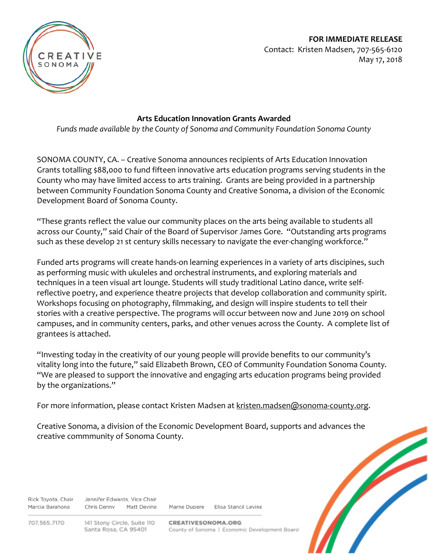**FOR IMMEDIATE RELEASE** Contact: Kristen Madsen, 707-565-6120 May 17, 2018



## **Arts Education Innovation Grants Awarded**

*Funds made available by the County of Sonoma and Community Foundation Sonoma County*

SONOMA COUNTY, CA. – Creative Sonoma announces recipients of Arts Education Innovation Grants totalling \$88,000 to fund fifteen innovative arts education programs serving students in the County who may have limited access to arts training. Grants are being provided in a partnership between Community Foundation Sonoma County and Creative Sonoma, a division of the Economic Development Board of Sonoma County.

"These grants reflect the value our community places on the arts being available to students all across our County," said Chair of the Board of Supervisor James Gore. "Outstanding arts programs such as these develop 21 st century skills necessary to navigate the ever-changing workforce."

Funded arts programs will create hands-on learning experiences in a variety of arts discipines, such as performing music with ukuleles and orchestral instruments, and exploring materials and techniques in a teen visual art lounge. Students will study traditional Latino dance, write selfreflective poetry, and experience theatre projects that develop collaboration and community spirit. Workshops focusing on photography, filmmaking, and design will inspire students to tell their stories with a creative perspective. The programs will occur between now and June 2019 on school campuses, and in community centers, parks, and other venues across the County. A complete list of grantees is attached.

"Investing today in the creativity of our young people will provide benefits to our community's vitality long into the future," said Elizabeth Brown, CEO of Community Foundation Sonoma County. "We are pleased to support the innovative and engaging arts education programs being provided by the organizations."

For more information, please contact Kristen Madsen at [kristen.madsen@sonoma-county.org.](mailto:kristen.madsen@sonoma-county.org)

Creative Sonoma, a division of the Economic Development Board, supports and advances the creative commmunity of Sonoma County.

Rick Toyota, Chair Jennifer Edwards, Vice Chair Marcia Barahona Chris Denny Matt Devine

Marne Dupere Flisa Stancil Levine

707.565.7170

141 Stony Circle, Suite 110 Santa Rosa, CA 95401

CREATIVESONOMA.ORG County of Sonoma | Economic Development Board